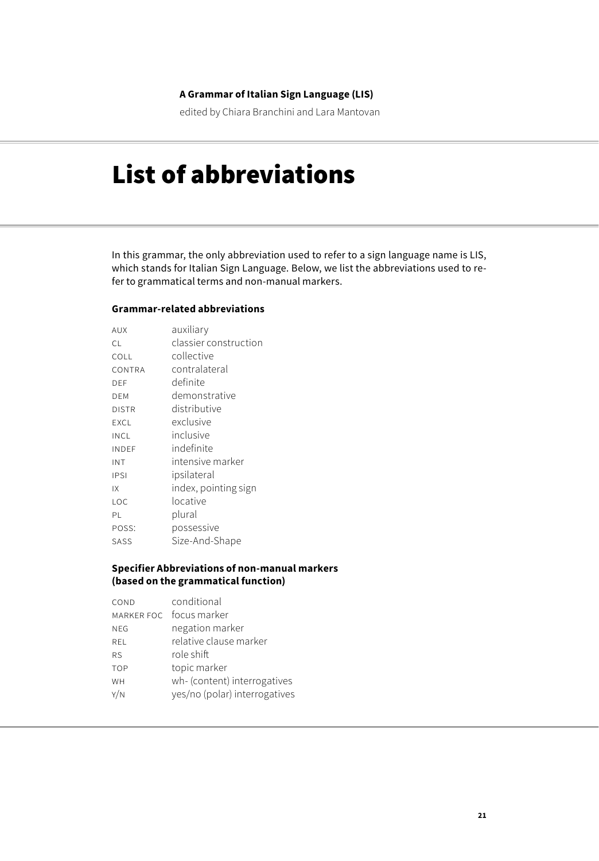### **A Grammar of Italian Sign Language (LIS)**

edited by Chiara Branchini and Lara Mantovan

# List of abbreviations

In this grammar, the only abbreviation used to refer to a sign language name is LIS, which stands for Italian Sign Language. Below, we list the abbreviations used to refer to grammatical terms and non-manual markers.

#### **Grammar-related abbreviations**

| AUX          | auxiliary             |
|--------------|-----------------------|
| C.L          | classier construction |
| COLL         | collective            |
| CONTRA       | contralateral         |
| DEF          | definite              |
| DEM          | demonstrative         |
| <b>DISTR</b> | distributive          |
| EXCL         | exclusive             |
| INCL         | inclusive             |
| INDEF        | indefinite            |
| INT          | intensive marker      |
| IPSI         | ipsilateral           |
| IX           | index, pointing sign  |
| LOC          | locative              |
| ΡL           | plural                |
| POSS:        | possessive            |
| SASS         | Size-And-Shape        |

#### **Specifier Abbreviations of non-manual markers (based on the grammatical function)**

| COND       | conditional                   |
|------------|-------------------------------|
|            | MARKER FOC focus marker       |
| <b>NEG</b> | negation marker               |
| <b>REL</b> | relative clause marker        |
| <b>RS</b>  | role shift                    |
| <b>TOP</b> | topic marker                  |
| WH         | wh- (content) interrogatives  |
| Y/N        | yes/no (polar) interrogatives |